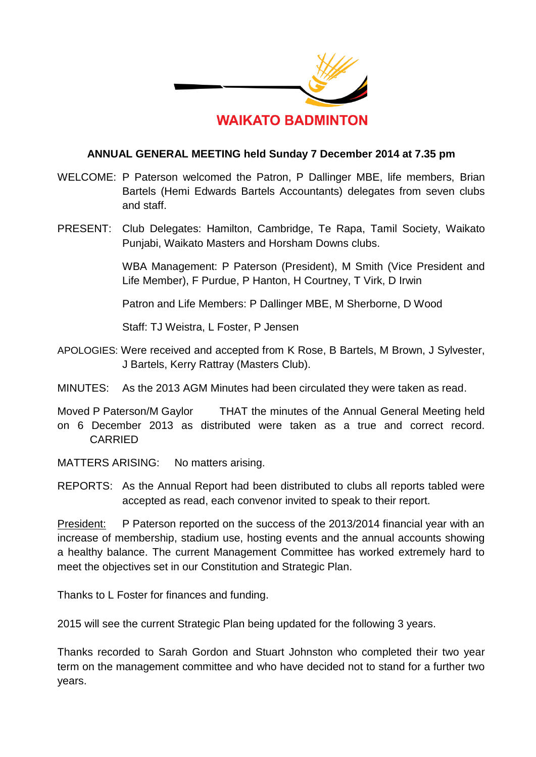

## **ANNUAL GENERAL MEETING held Sunday 7 December 2014 at 7.35 pm**

- WELCOME: P Paterson welcomed the Patron, P Dallinger MBE, life members, Brian Bartels (Hemi Edwards Bartels Accountants) delegates from seven clubs and staff.
- PRESENT: Club Delegates: Hamilton, Cambridge, Te Rapa, Tamil Society, Waikato Punjabi, Waikato Masters and Horsham Downs clubs.

WBA Management: P Paterson (President), M Smith (Vice President and Life Member), F Purdue, P Hanton, H Courtney, T Virk, D Irwin

Patron and Life Members: P Dallinger MBE, M Sherborne, D Wood

Staff: TJ Weistra, L Foster, P Jensen

- APOLOGIES: Were received and accepted from K Rose, B Bartels, M Brown, J Sylvester, J Bartels, Kerry Rattray (Masters Club).
- MINUTES: As the 2013 AGM Minutes had been circulated they were taken as read.
- Moved P Paterson/M Gaylor THAT the minutes of the Annual General Meeting held on 6 December 2013 as distributed were taken as a true and correct record. CARRIED
- MATTERS ARISING: No matters arising.
- REPORTS: As the Annual Report had been distributed to clubs all reports tabled were accepted as read, each convenor invited to speak to their report.

President: P Paterson reported on the success of the 2013/2014 financial year with an increase of membership, stadium use, hosting events and the annual accounts showing a healthy balance. The current Management Committee has worked extremely hard to meet the objectives set in our Constitution and Strategic Plan.

Thanks to L Foster for finances and funding.

2015 will see the current Strategic Plan being updated for the following 3 years.

Thanks recorded to Sarah Gordon and Stuart Johnston who completed their two year term on the management committee and who have decided not to stand for a further two years.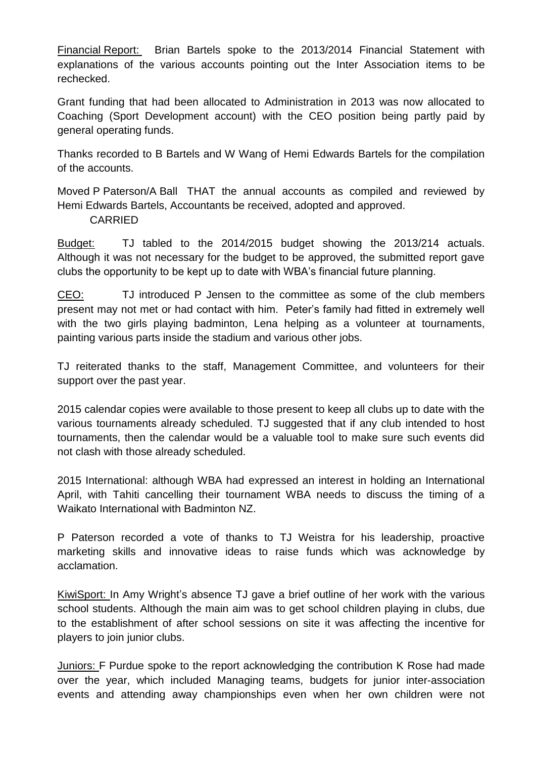Financial Report: Brian Bartels spoke to the 2013/2014 Financial Statement with explanations of the various accounts pointing out the Inter Association items to be rechecked.

Grant funding that had been allocated to Administration in 2013 was now allocated to Coaching (Sport Development account) with the CEO position being partly paid by general operating funds.

Thanks recorded to B Bartels and W Wang of Hemi Edwards Bartels for the compilation of the accounts.

Moved P Paterson/A Ball THAT the annual accounts as compiled and reviewed by Hemi Edwards Bartels, Accountants be received, adopted and approved. CARRIED

Budget: TJ tabled to the 2014/2015 budget showing the 2013/214 actuals. Although it was not necessary for the budget to be approved, the submitted report gave clubs the opportunity to be kept up to date with WBA's financial future planning.

CEO: TJ introduced P Jensen to the committee as some of the club members present may not met or had contact with him. Peter's family had fitted in extremely well with the two girls playing badminton, Lena helping as a volunteer at tournaments, painting various parts inside the stadium and various other jobs.

TJ reiterated thanks to the staff, Management Committee, and volunteers for their support over the past year.

2015 calendar copies were available to those present to keep all clubs up to date with the various tournaments already scheduled. TJ suggested that if any club intended to host tournaments, then the calendar would be a valuable tool to make sure such events did not clash with those already scheduled.

2015 International: although WBA had expressed an interest in holding an International April, with Tahiti cancelling their tournament WBA needs to discuss the timing of a Waikato International with Badminton NZ.

P Paterson recorded a vote of thanks to TJ Weistra for his leadership, proactive marketing skills and innovative ideas to raise funds which was acknowledge by acclamation.

KiwiSport: In Amy Wright's absence TJ gave a brief outline of her work with the various school students. Although the main aim was to get school children playing in clubs, due to the establishment of after school sessions on site it was affecting the incentive for players to join junior clubs.

Juniors: F Purdue spoke to the report acknowledging the contribution K Rose had made over the year, which included Managing teams, budgets for junior inter-association events and attending away championships even when her own children were not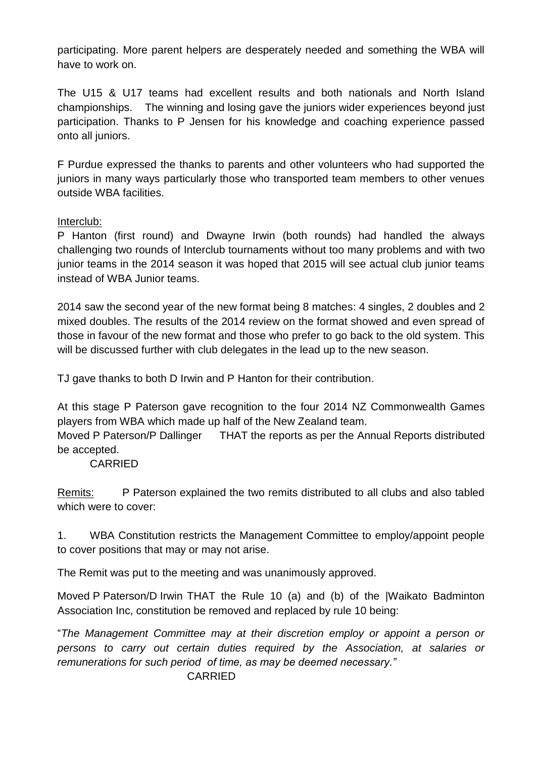participating. More parent helpers are desperately needed and something the WBA will have to work on.

The U15 & U17 teams had excellent results and both nationals and North Island championships. The winning and losing gave the juniors wider experiences beyond just participation. Thanks to P Jensen for his knowledge and coaching experience passed onto all juniors.

F Purdue expressed the thanks to parents and other volunteers who had supported the juniors in many ways particularly those who transported team members to other venues outside WBA facilities.

## Interclub:

P Hanton (first round) and Dwayne Irwin (both rounds) had handled the always challenging two rounds of Interclub tournaments without too many problems and with two junior teams in the 2014 season it was hoped that 2015 will see actual club junior teams instead of WBA Junior teams.

2014 saw the second year of the new format being 8 matches: 4 singles, 2 doubles and 2 mixed doubles. The results of the 2014 review on the format showed and even spread of those in favour of the new format and those who prefer to go back to the old system. This will be discussed further with club delegates in the lead up to the new season.

TJ gave thanks to both D Irwin and P Hanton for their contribution.

At this stage P Paterson gave recognition to the four 2014 NZ Commonwealth Games players from WBA which made up half of the New Zealand team.

Moved P Paterson/P Dallinger THAT the reports as per the Annual Reports distributed be accepted.

## CARRIED

Remits: P Paterson explained the two remits distributed to all clubs and also tabled which were to cover:

1. WBA Constitution restricts the Management Committee to employ/appoint people to cover positions that may or may not arise.

The Remit was put to the meeting and was unanimously approved.

Moved P Paterson/D Irwin THAT the Rule 10 (a) and (b) of the |Waikato Badminton Association Inc, constitution be removed and replaced by rule 10 being:

"*The Management Committee may at their discretion employ or appoint a person or persons to carry out certain duties required by the Association, at salaries or remunerations for such period of time, as may be deemed necessary."*

## CARRIED